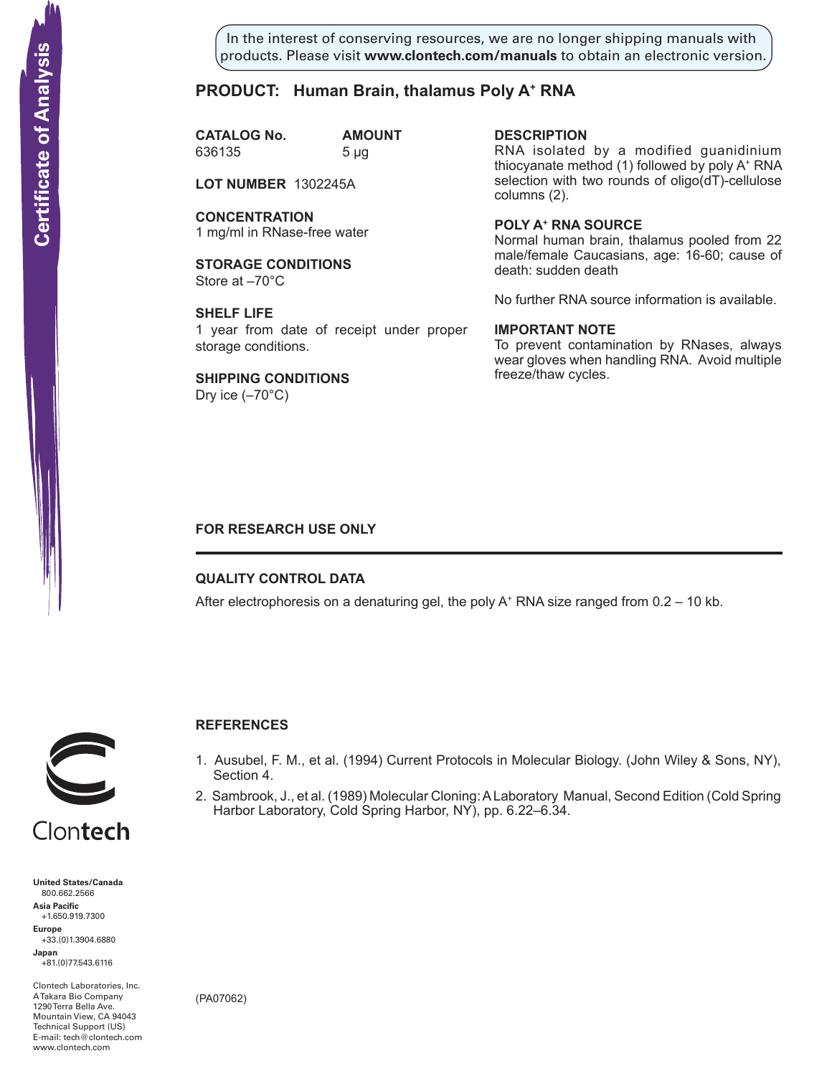In the interest of conserving resources, we are no longer shipping manuals with products. Please visit **www.clontech.com/manuals** to obtain an electronic version.

# **PRODUCT: Human Brain, thalamus Poly A+ RNA**

**CATALOG No. AMOUNT** 636135 5 µg

**LOT NUMBER** 1302245A

**CONCENTRATION** 1 mg/ml in RNase-free water

**STORAGE CONDITIONS** Store at –70°C

**SHELF LIFE** 1 year from date of receipt under proper storage conditions.

**SHIPPING CONDITIONS** Dry ice  $(-70^{\circ}C)$ 

**description** RNA isolated by a modified guanidinium thiocyanate method (1) followed by poly A+ RNA selection with two rounds of oligo(dT)-cellulose columns (2).

**Poly a+ RNA source** Normal human brain, thalamus pooled from 22 male/female Caucasians, age: 16-60; cause of death: sudden death

No further RNA source information is available.

### **IMPORTANT NOTE**

To prevent contamination by RNases, always wear gloves when handling RNA. Avoid multiple freeze/thaw cycles.

## **FOR RESEARCH USE ONLY**

## **QUALITY CONTROL DATA**

After electrophoresis on a denaturing gel, the poly  $A^+$  RNA size ranged from 0.2 – 10 kb.



# **References**

- 1. Ausubel, F. M., et al. (1994) Current Protocols in Molecular Biology. (John Wiley & Sons, NY), Section 4.
- 2. Sambrook, J., et al. (1989) Molecular Cloning: A Laboratory Manual, Second Edition (Cold Spring Harbor Laboratory, Cold Spring Harbor, NY), pp. 6.22–6.34.

**United States/Canada** 800.662.2566 **Asia Pacific** +1.650.919.7300 **Europe** +33.(0)1.3904.6880 **Japan** +81.(0)77.543.6116 **Solution Control Control Control Control Control Control Control Control Control Control Control Control Control Control Control Control Control Control Control Control Control Control Control Control Control Control Cont** 

Clontech Laboratories, Inc. A Takara Bio Company 1290 Terra Bella Ave. Mountain View, CA 94043 Technical Support (US) E-mail: tech@clontech.com<br>www.clontech.com

(PA07062)